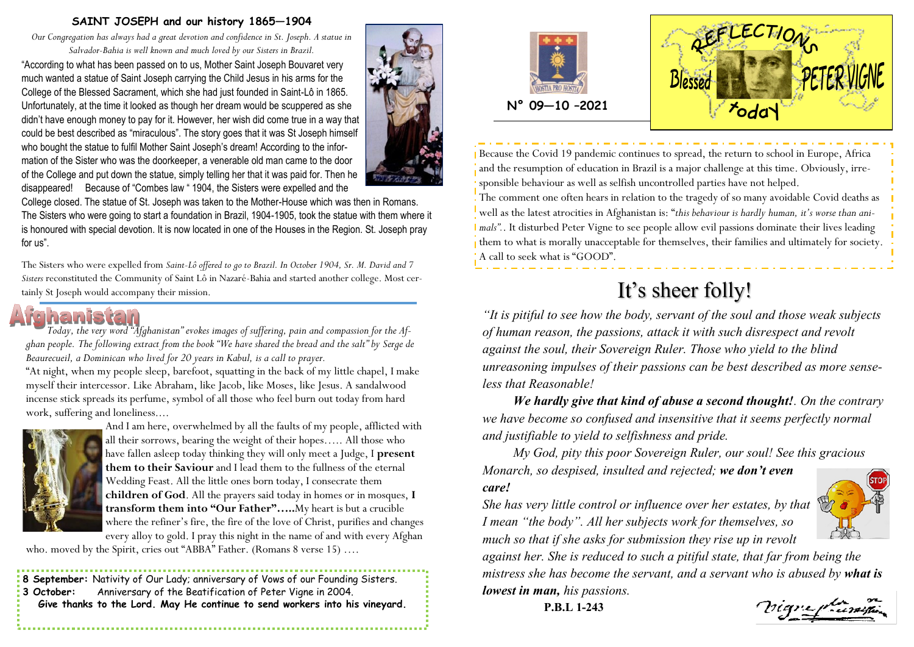#### **SAINT JOSEPH and our history 1865—1904**

*Our Congregation has always had a great devotion and confidence in St. Joseph. A statue in Salvador-Bahia is well known and much loved by our Sisters in Brazil.*

"According to what has been passed on to us, Mother Saint Joseph Bouvaret very much wanted a statue of Saint Joseph carrying the Child Jesus in his arms for the College of the Blessed Sacrament, which she had just founded in Saint-Lô in 1865. Unfortunately, at the time it looked as though her dream would be scuppered as she didn't have enough money to pay for it. However, her wish did come true in a way that could be best described as "miraculous". The story goes that it was St Joseph himself who bought the statue to fulfil Mother Saint Joseph's dream! According to the information of the Sister who was the doorkeeper, a venerable old man came to the door of the College and put down the statue, simply telling her that it was paid for. Then he disappeared! Because of "Combes law " 1904, the Sisters were expelled and the



College closed. The statue of St. Joseph was taken to the Mother-House which was then in Romans. The Sisters who were going to start a foundation in Brazil, 1904-1905, took the statue with them where it is honoured with special devotion. It is now located in one of the Houses in the Region. St. Joseph pray for us".

The Sisters who were expelled from *Saint-Lô offered to go to Brazil. In October 1904, Sr. M. David and 7 Sisters* reconstituted the Community of Saint Lô in Nazaré-Bahia and started another college. Most certainly St Joseph would accompany their mission.



*Today, the very word "Afghanistan" evokes images of suffering, pain and compassion for the Afghan people. The following extract from the book "We have shared the bread and the salt" by Serge de Beaurecueil, a Dominican who lived for 20 years in Kabul, is a call to prayer.*

"At night, when my people sleep, barefoot, squatting in the back of my little chapel, I make myself their intercessor. Like Abraham, like Jacob, like Moses, like Jesus. A sandalwood incense stick spreads its perfume, symbol of all those who feel burn out today from hard work, suffering and loneliness....



And I am here, overwhelmed by all the faults of my people, afflicted with all their sorrows, bearing the weight of their hopes….. All those who have fallen asleep today thinking they will only meet a Judge, I **present them to their Saviour** and I lead them to the fullness of the eternal Wedding Feast. All the little ones born today, I consecrate them **children of God**. All the prayers said today in homes or in mosques, **I transform them into "Our Father"…..**My heart is but a crucible where the refiner's fire, the fire of the love of Christ, purifies and changes every alloy to gold. I pray this night in the name of and with every Afghan

who. moved by the Spirit, cries out "ABBA" Father. (Romans 8 verse 15) ....

**8 September:** Nativity of Our Lady; anniversary of Vows of our Founding Sisters. **3 October:** Anniversary of the Beatification of Peter Vigne in 2004. **Give thanks to the Lord. May He continue to send workers into his vineyard.** 





Because the Covid 19 pandemic continues to spread, the return to school in Europe, Africa and the resumption of education in Brazil is a major challenge at this time. Obviously, irresponsible behaviour as well as selfish uncontrolled parties have not helped.

The comment one often hears in relation to the tragedy of so many avoidable Covid deaths as well as the latest atrocities in Afghanistan is: "*this behaviour is hardly human, it's worse than animals"*.. It disturbed Peter Vigne to see people allow evil passions dominate their lives leading them to what is morally unacceptable for themselves, their families and ultimately for society. A call to seek what is "GOOD".

# It's sheer folly!

*"It is pitiful to see how the body, servant of the soul and those weak subjects of human reason, the passions, attack it with such disrespect and revolt against the soul, their Sovereign Ruler. Those who yield to the blind unreasoning impulses of their passions can be best described as more senseless that Reasonable!*

*We hardly give that kind of abuse a second thought!. On the contrary we have become so confused and insensitive that it seems perfectly normal and justifiable to yield to selfishness and pride.*

*My God, pity this poor Sovereign Ruler, our soul! See this gracious Monarch, so despised, insulted and rejected; we don't even* 

### *care!*

*She has very little control or influence over her estates, by that I mean "the body". All her subjects work for themselves, so much so that if she asks for submission they rise up in revolt* 



*against her. She is reduced to such a pitiful state, that far from being the mistress she has become the servant, and a servant who is abused by what is lowest in man, his passions.*

**P.B.L 1-243**